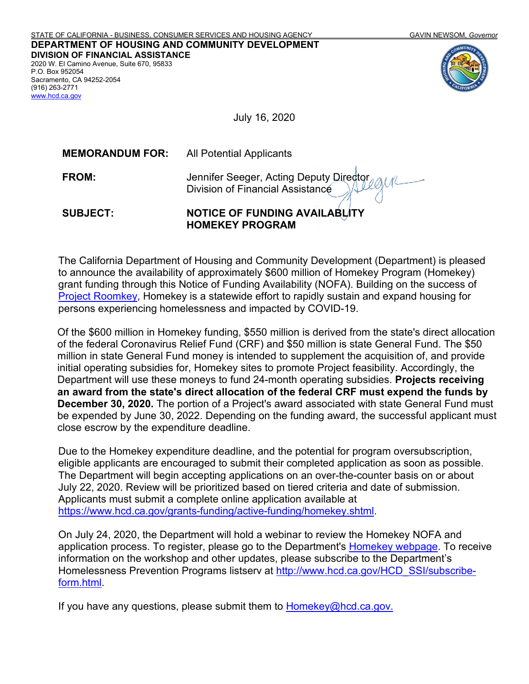

July 16, 2020

| <b>MEMORANDUM FOR:</b> | All Potential Applicants |
|------------------------|--------------------------|
|                        |                          |

| M<br>٠ |  |
|--------|--|
|        |  |

(916) 263-2771 www.hcd.ca.gov

> **Jennifer Seeger, Acting Deputy Director** Division of Financial Assistance

**SUBJECT: NOTICE OF FUNDING AVAILABLITY HOMEKEY PROGRAM**

The California Department of Housing and Community Development (Department) is pleased to announce the availability of approximately \$600 million of Homekey Program (Homekey) grant funding through this Notice of Funding Availability (NOFA). Building on the success of Project Roomkey, Homekey is a statewide effort to rapidly sustain and expand housing for persons experiencing homelessness and impacted by COVID-19.

Of the \$600 million in Homekey funding, \$550 million is derived from the state's direct allocation of the federal Coronavirus Relief Fund (CRF) and \$50 million is state General Fund. The \$50 million in state General Fund money is intended to supplement the acquisition of, and provide initial operating subsidies for, Homekey sites to promote Project feasibility. Accordingly, the Department will use these moneys to fund 24-month operating subsidies. **Projects receiving an award from the state's direct allocation of the federal CRF must expend the funds by December 30, 2020.** The portion of a Project's award associated with state General Fund must be expended by June 30, 2022. Depending on the funding award, the successful applicant must close escrow by the expenditure deadline.

Due to the Homekey expenditure deadline, and the potential for program oversubscription, eligible applicants are encouraged to submit their completed application as soon as possible. The Department will begin accepting applications on an over-the-counter basis on or about July 22, 2020. Review will be prioritized based on tiered criteria and date of submission. Applicants must submit a complete online application available at https://www.hcd.ca.gov/grants-funding/active-funding/homekey.shtml.

On July 24, 2020, the Department will hold a webinar to review the Homekey NOFA and application process. To register, please go to the Department's Homekey webpage. To receive information on the workshop and other updates, please subscribe to the Department's Homelessness Prevention Programs listserv at http://www.hcd.ca.gov/HCD\_SSI/subscribeform.html.

If you have any questions, please submit them to <u>Homekey@hcd.ca.gov.</u>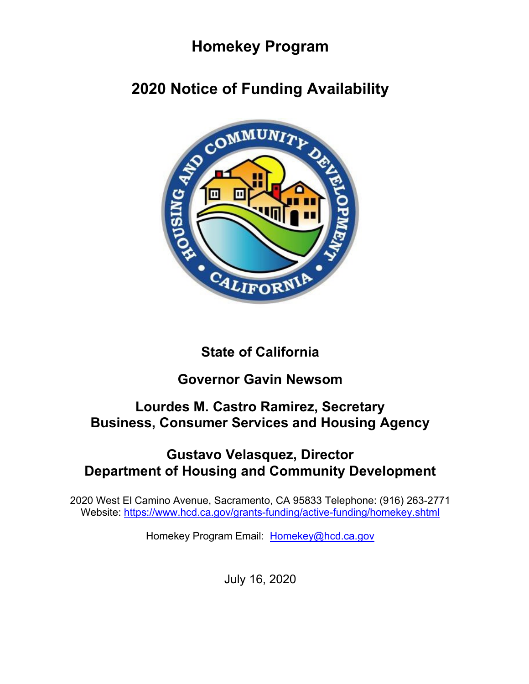# **Homekey Program**

# **2020 Notice of Funding Availability**



# **State of California**

# **Governor Gavin Newsom**

# **Lourdes M. Castro Ramirez, Secretary Business, Consumer Services and Housing Agency**

# **Gustavo Velasquez, Director Department of Housing and Community Development**

2020 West El Camino Avenue, Sacramento, CA 95833 Telephone: (916) 263-2771 Website: https://www.hcd.ca.gov/grants-funding/active-funding/homekey.shtml

Homekey Program Email: Homekey@hcd.ca.gov

July 16, 2020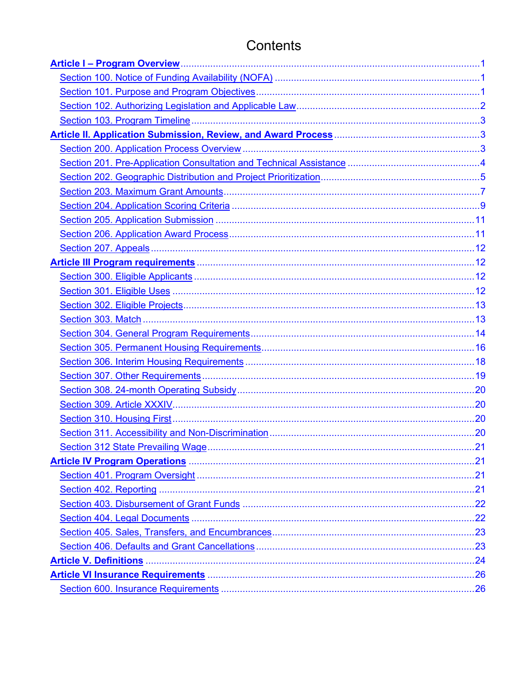# Contents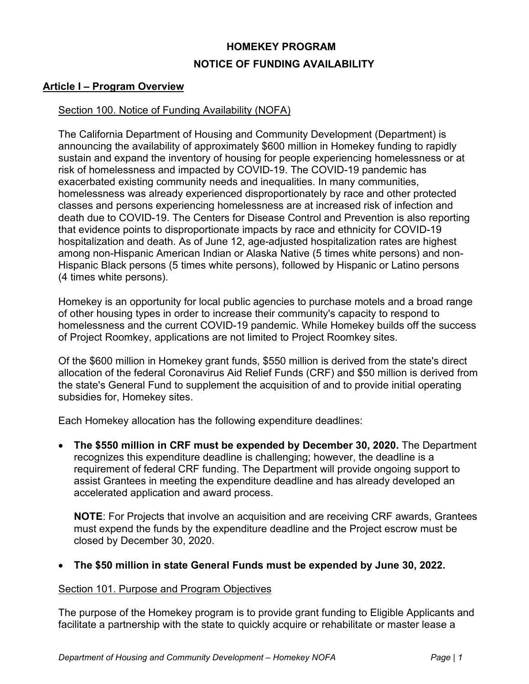## **HOMEKEY PROGRAM NOTICE OF FUNDING AVAILABILITY**

#### **Article I – Program Overview**

## Section 100. Notice of Funding Availability (NOFA)

The California Department of Housing and Community Development (Department) is announcing the availability of approximately \$600 million in Homekey funding to rapidly sustain and expand the inventory of housing for people experiencing homelessness or at risk of homelessness and impacted by COVID-19. The COVID-19 pandemic has exacerbated existing community needs and inequalities. In many communities, homelessness was already experienced disproportionately by race and other protected classes and persons experiencing homelessness are at increased risk of infection and death due to COVID-19. The Centers for Disease Control and Prevention is also reporting that evidence points to disproportionate impacts by race and ethnicity for COVID-19 hospitalization and death. As of June 12, age-adjusted hospitalization rates are highest among non-Hispanic American Indian or Alaska Native (5 times white persons) and non-Hispanic Black persons (5 times white persons), followed by Hispanic or Latino persons (4 times white persons).

Homekey is an opportunity for local public agencies to purchase motels and a broad range of other housing types in order to increase their community's capacity to respond to homelessness and the current COVID-19 pandemic. While Homekey builds off the success of Project Roomkey, applications are not limited to Project Roomkey sites.

Of the \$600 million in Homekey grant funds, \$550 million is derived from the state's direct allocation of the federal Coronavirus Aid Relief Funds (CRF) and \$50 million is derived from the state's General Fund to supplement the acquisition of and to provide initial operating subsidies for, Homekey sites.

Each Homekey allocation has the following expenditure deadlines:

• **The \$550 million in CRF must be expended by December 30, 2020.** The Department recognizes this expenditure deadline is challenging; however, the deadline is a requirement of federal CRF funding. The Department will provide ongoing support to assist Grantees in meeting the expenditure deadline and has already developed an accelerated application and award process.

**NOTE**: For Projects that involve an acquisition and are receiving CRF awards, Grantees must expend the funds by the expenditure deadline and the Project escrow must be closed by December 30, 2020.

### • **The \$50 million in state General Funds must be expended by June 30, 2022.**

#### Section 101. Purpose and Program Objectives

The purpose of the Homekey program is to provide grant funding to Eligible Applicants and facilitate a partnership with the state to quickly acquire or rehabilitate or master lease a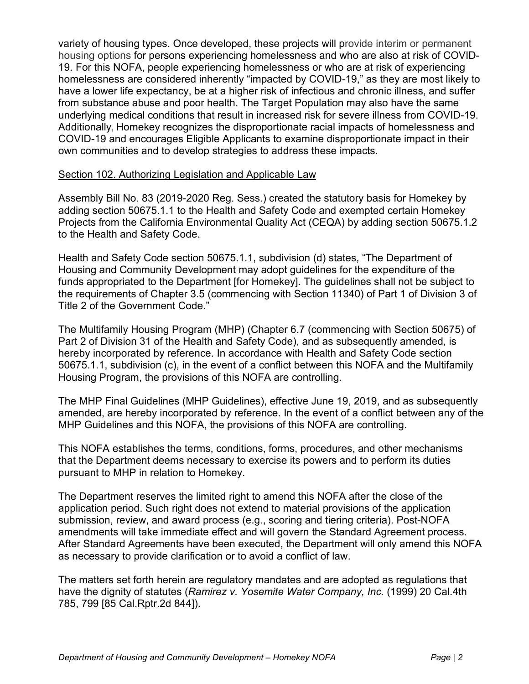variety of housing types. Once developed, these projects will provide interim or permanent housing options for persons experiencing homelessness and who are also at risk of COVID-19. For this NOFA, people experiencing homelessness or who are at risk of experiencing homelessness are considered inherently "impacted by COVID-19," as they are most likely to have a lower life expectancy, be at a higher risk of infectious and chronic illness, and suffer from substance abuse and poor health. The Target Population may also have the same underlying medical conditions that result in increased risk for severe illness from COVID-19. Additionally, Homekey recognizes the disproportionate racial impacts of homelessness and COVID-19 and encourages Eligible Applicants to examine disproportionate impact in their own communities and to develop strategies to address these impacts.

#### Section 102. Authorizing Legislation and Applicable Law

Assembly Bill No. 83 (2019-2020 Reg. Sess.) created the statutory basis for Homekey by adding section 50675.1.1 to the Health and Safety Code and exempted certain Homekey Projects from the California Environmental Quality Act (CEQA) by adding section 50675.1.2 to the Health and Safety Code.

Health and Safety Code section 50675.1.1, subdivision (d) states, "The Department of Housing and Community Development may adopt guidelines for the expenditure of the funds appropriated to the Department [for Homekey]. The guidelines shall not be subject to the requirements of Chapter 3.5 (commencing with Section 11340) of Part 1 of Division 3 of Title 2 of the Government Code."

The Multifamily Housing Program (MHP) (Chapter 6.7 (commencing with Section 50675) of Part 2 of Division 31 of the Health and Safety Code), and as subsequently amended, is hereby incorporated by reference. In accordance with Health and Safety Code section 50675.1.1, subdivision (c), in the event of a conflict between this NOFA and the Multifamily Housing Program, the provisions of this NOFA are controlling.

The MHP Final Guidelines (MHP Guidelines), effective June 19, 2019, and as subsequently amended, are hereby incorporated by reference. In the event of a conflict between any of the MHP Guidelines and this NOFA, the provisions of this NOFA are controlling.

This NOFA establishes the terms, conditions, forms, procedures, and other mechanisms that the Department deems necessary to exercise its powers and to perform its duties pursuant to MHP in relation to Homekey.

The Department reserves the limited right to amend this NOFA after the close of the application period. Such right does not extend to material provisions of the application submission, review, and award process (e.g., scoring and tiering criteria). Post-NOFA amendments will take immediate effect and will govern the Standard Agreement process. After Standard Agreements have been executed, the Department will only amend this NOFA as necessary to provide clarification or to avoid a conflict of law.

The matters set forth herein are regulatory mandates and are adopted as regulations that have the dignity of statutes (*Ramirez v. Yosemite Water Company, Inc.* (1999) 20 Cal.4th 785, 799 [85 Cal.Rptr.2d 844]).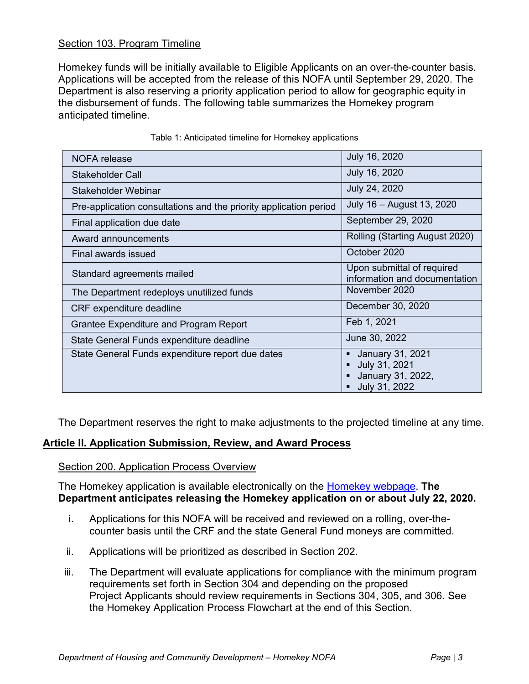### Section 103. Program Timeline

Homekey funds will be initially available to Eligible Applicants on an over-the-counter basis. Applications will be accepted from the release of this NOFA until September 29, 2020. The Department is also reserving a priority application period to allow for geographic equity in the disbursement of funds. The following table summarizes the Homekey program anticipated timeline.

| <b>NOFA</b> release                                               | July 16, 2020                                                                |
|-------------------------------------------------------------------|------------------------------------------------------------------------------|
| Stakeholder Call                                                  | July 16, 2020                                                                |
| Stakeholder Webinar                                               | July 24, 2020                                                                |
| Pre-application consultations and the priority application period | July 16 - August 13, 2020                                                    |
| Final application due date                                        | September 29, 2020                                                           |
| Award announcements                                               | Rolling (Starting August 2020)                                               |
| Final awards issued                                               | October 2020                                                                 |
| Standard agreements mailed                                        | Upon submittal of required<br>information and documentation                  |
| The Department redeploys unutilized funds                         | November 2020                                                                |
| <b>CRF</b> expenditure deadline                                   | December 30, 2020                                                            |
| <b>Grantee Expenditure and Program Report</b>                     | Feb 1, 2021                                                                  |
| State General Funds expenditure deadline                          | June 30, 2022                                                                |
| State General Funds expenditure report due dates                  | January 31, 2021<br>٠<br>July 31, 2021<br>January 31, 2022,<br>July 31, 2022 |

#### Table 1: Anticipated timeline for Homekey applications

The Department reserves the right to make adjustments to the projected timeline at any time.

### **Article II. Application Submission, Review, and Award Process**

#### Section 200. Application Process Overview

The Homekey application is available electronically on the Homekey webpage. **The Department anticipates releasing the Homekey application on or about July 22, 2020.**

- i. Applications for this NOFA will be received and reviewed on a rolling, over-thecounter basis until the CRF and the state General Fund moneys are committed.
- ii. Applications will be prioritized as described in Section 202.
- iii. The Department will evaluate applications for compliance with the minimum program requirements set forth in Section 304 and depending on the proposed Project Applicants should review requirements in Sections 304, 305, and 306. See the Homekey Application Process Flowchart at the end of this Section.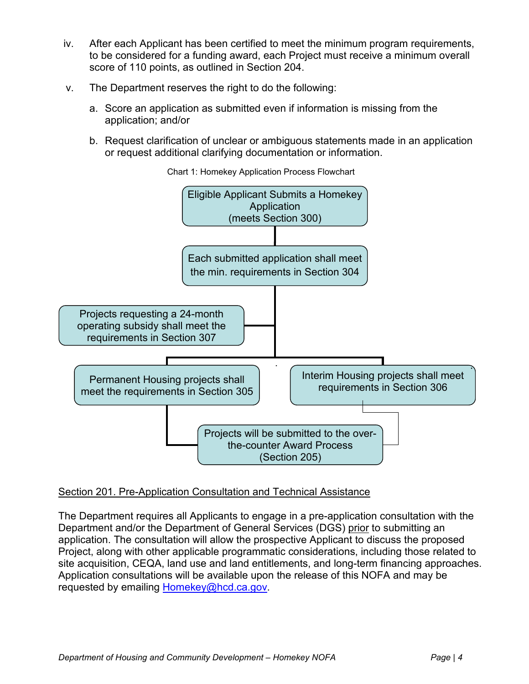- iv. After each Applicant has been certified to meet the minimum program requirements, to be considered for a funding award, each Project must receive a minimum overall score of 110 points, as outlined in Section 204.
- v. The Department reserves the right to do the following:
	- a. Score an application as submitted even if information is missing from the application; and/or
	- b. Request clarification of unclear or ambiguous statements made in an application or request additional clarifying documentation or information.



Chart 1: Homekey Application Process Flowchart

### Section 201. Pre-Application Consultation and Technical Assistance

The Department requires all Applicants to engage in a pre-application consultation with the Department and/or the Department of General Services (DGS) prior to submitting an application. The consultation will allow the prospective Applicant to discuss the proposed Project, along with other applicable programmatic considerations, including those related to site acquisition, CEQA, land use and land entitlements, and long-term financing approaches. Application consultations will be available upon the release of this NOFA and may be requested by emailing Homekey@hcd.ca.gov.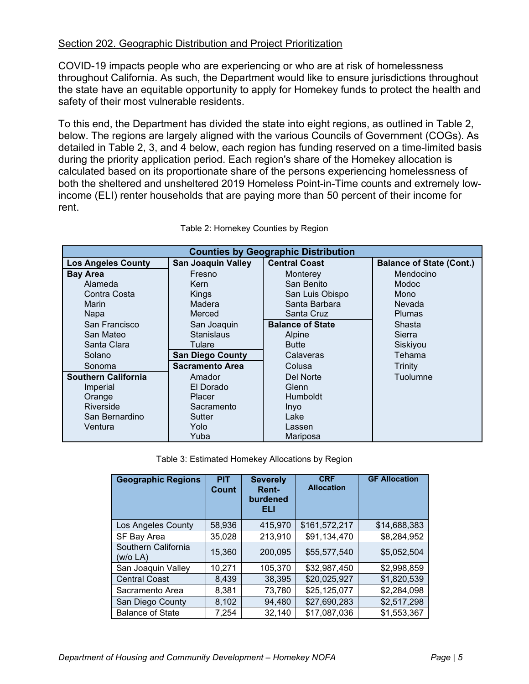## Section 202. Geographic Distribution and Project Prioritization

COVID-19 impacts people who are experiencing or who are at risk of homelessness throughout California. As such, the Department would like to ensure jurisdictions throughout the state have an equitable opportunity to apply for Homekey funds to protect the health and safety of their most vulnerable residents.

To this end, the Department has divided the state into eight regions, as outlined in Table 2, below. The regions are largely aligned with the various Councils of Government (COGs). As detailed in Table 2, 3, and 4 below, each region has funding reserved on a time-limited basis during the priority application period. Each region's share of the Homekey allocation is calculated based on its proportionate share of the persons experiencing homelessness of both the sheltered and unsheltered 2019 Homeless Point-in-Time counts and extremely lowincome (ELI) renter households that are paying more than 50 percent of their income for rent.

| <b>Counties by Geographic Distribution</b> |                           |                         |                                 |
|--------------------------------------------|---------------------------|-------------------------|---------------------------------|
| <b>Los Angeles County</b>                  | <b>San Joaquin Valley</b> | <b>Central Coast</b>    | <b>Balance of State (Cont.)</b> |
| <b>Bay Area</b>                            | Fresno                    | Monterey                | Mendocino                       |
| Alameda                                    | Kern                      | San Benito              | <b>Modoc</b>                    |
| Contra Costa                               | Kings                     | San Luis Obispo         | Mono                            |
| Marin                                      | Madera                    | Santa Barbara           | Nevada                          |
| Napa                                       | Merced                    | Santa Cruz              | <b>Plumas</b>                   |
| San Francisco                              | San Joaquin               | <b>Balance of State</b> | Shasta                          |
| San Mateo                                  | <b>Stanislaus</b>         | Alpine                  | Sierra                          |
| Santa Clara                                | Tulare                    | <b>Butte</b>            | Siskiyou                        |
| Solano                                     | <b>San Diego County</b>   | Calaveras               | Tehama                          |
| Sonoma                                     | <b>Sacramento Area</b>    | Colusa                  | Trinity                         |
| <b>Southern California</b>                 | Amador                    | Del Norte               | Tuolumne                        |
| Imperial                                   | El Dorado                 | Glenn                   |                                 |
| Orange                                     | <b>Placer</b>             | <b>Humboldt</b>         |                                 |
| Riverside                                  | Sacramento                | <u>Inyo</u>             |                                 |
| San Bernardino                             | Sutter                    | Lake                    |                                 |
| Ventura                                    | Yolo                      | Lassen                  |                                 |
|                                            | Yuba                      | Mariposa                |                                 |

Table 2: Homekey Counties by Region

Table 3: Estimated Homekey Allocations by Region

| <b>Geographic Regions</b>       | <b>PIT</b><br>Count | <b>Severely</b><br>Rent-<br>burdened<br>ELI | <b>CRF</b><br><b>Allocation</b> | <b>GF Allocation</b> |
|---------------------------------|---------------------|---------------------------------------------|---------------------------------|----------------------|
| Los Angeles County              | 58,936              | 415,970                                     | \$161,572,217                   | \$14,688,383         |
| SF Bay Area                     | 35,028              | 213,910                                     | \$91,134,470                    | \$8,284,952          |
| Southern California<br>(w/o LA) | 15.360              | 200.095                                     | \$55,577,540                    | \$5,052,504          |
| San Joaquin Valley              | 10,271              | 105,370                                     | \$32,987,450                    | \$2,998,859          |
| <b>Central Coast</b>            | 8,439               | 38,395                                      | \$20,025,927                    | \$1,820,539          |
| Sacramento Area                 | 8,381               | 73,780                                      | \$25,125,077                    | \$2,284,098          |
| San Diego County                | 8,102               | 94.480                                      | \$27,690,283                    | \$2,517,298          |
| <b>Balance of State</b>         | 7,254               | 32,140                                      | \$17,087,036                    | \$1,553,367          |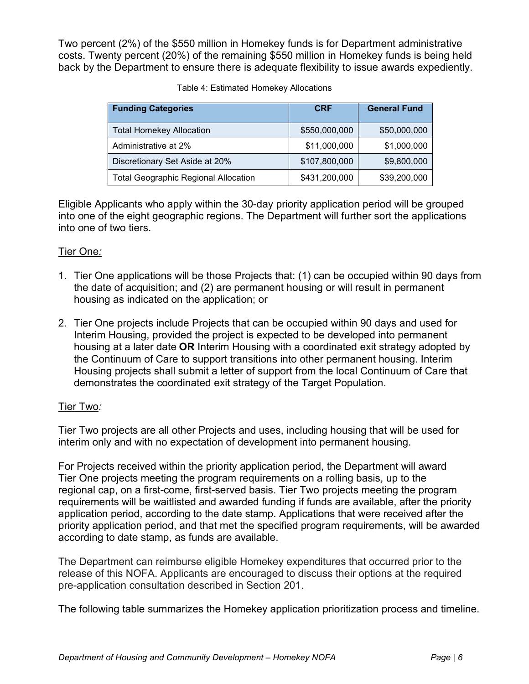Two percent (2%) of the \$550 million in Homekey funds is for Department administrative costs. Twenty percent (20%) of the remaining \$550 million in Homekey funds is being held back by the Department to ensure there is adequate flexibility to issue awards expediently.

| <b>Funding Categories</b>                   | <b>CRF</b>    | <b>General Fund</b> |
|---------------------------------------------|---------------|---------------------|
| <b>Total Homekey Allocation</b>             | \$550,000,000 | \$50,000,000        |
| Administrative at 2%                        | \$11,000,000  | \$1,000,000         |
| Discretionary Set Aside at 20%              | \$107,800,000 | \$9,800,000         |
| <b>Total Geographic Regional Allocation</b> | \$431,200,000 | \$39,200,000        |

| Table 4: Estimated Homekey Allocations |
|----------------------------------------|
|----------------------------------------|

Eligible Applicants who apply within the 30-day priority application period will be grouped into one of the eight geographic regions. The Department will further sort the applications into one of two tiers.

## Tier One*:*

- 1. Tier One applications will be those Projects that: (1) can be occupied within 90 days from the date of acquisition; and (2) are permanent housing or will result in permanent housing as indicated on the application; or
- 2. Tier One projects include Projects that can be occupied within 90 days and used for Interim Housing, provided the project is expected to be developed into permanent housing at a later date **OR** Interim Housing with a coordinated exit strategy adopted by the Continuum of Care to support transitions into other permanent housing. Interim Housing projects shall submit a letter of support from the local Continuum of Care that demonstrates the coordinated exit strategy of the Target Population.

## Tier Two*:*

Tier Two projects are all other Projects and uses, including housing that will be used for interim only and with no expectation of development into permanent housing.

For Projects received within the priority application period, the Department will award Tier One projects meeting the program requirements on a rolling basis, up to the regional cap, on a first-come, first-served basis. Tier Two projects meeting the program requirements will be waitlisted and awarded funding if funds are available, after the priority application period, according to the date stamp. Applications that were received after the priority application period, and that met the specified program requirements, will be awarded according to date stamp, as funds are available.

The Department can reimburse eligible Homekey expenditures that occurred prior to the release of this NOFA. Applicants are encouraged to discuss their options at the required pre-application consultation described in Section 201.

The following table summarizes the Homekey application prioritization process and timeline.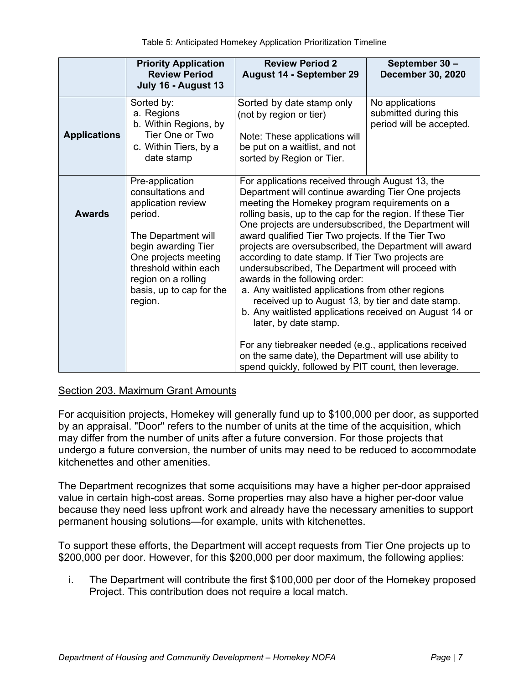|                     | <b>Priority Application</b><br><b>Review Period</b><br>July 16 - August 13                                                                                                                                                         | <b>Review Period 2</b><br>August 14 - September 29                                                                                                                                                                                                                                                                                                                                                                                                                                                                                                                                                                                                                                                                                                                                                                                                           | September 30 -<br><b>December 30, 2020</b>                           |
|---------------------|------------------------------------------------------------------------------------------------------------------------------------------------------------------------------------------------------------------------------------|--------------------------------------------------------------------------------------------------------------------------------------------------------------------------------------------------------------------------------------------------------------------------------------------------------------------------------------------------------------------------------------------------------------------------------------------------------------------------------------------------------------------------------------------------------------------------------------------------------------------------------------------------------------------------------------------------------------------------------------------------------------------------------------------------------------------------------------------------------------|----------------------------------------------------------------------|
| <b>Applications</b> | Sorted by:<br>a. Regions<br>b. Within Regions, by<br>Tier One or Two<br>c. Within Tiers, by a<br>date stamp                                                                                                                        | Sorted by date stamp only<br>(not by region or tier)<br>Note: These applications will<br>be put on a waitlist, and not<br>sorted by Region or Tier.                                                                                                                                                                                                                                                                                                                                                                                                                                                                                                                                                                                                                                                                                                          | No applications<br>submitted during this<br>period will be accepted. |
| <b>Awards</b>       | Pre-application<br>consultations and<br>application review<br>period.<br>The Department will<br>begin awarding Tier<br>One projects meeting<br>threshold within each<br>region on a rolling<br>basis, up to cap for the<br>region. | For applications received through August 13, the<br>Department will continue awarding Tier One projects<br>meeting the Homekey program requirements on a<br>rolling basis, up to the cap for the region. If these Tier<br>One projects are undersubscribed, the Department will<br>award qualified Tier Two projects. If the Tier Two<br>projects are oversubscribed, the Department will award<br>according to date stamp. If Tier Two projects are<br>undersubscribed, The Department will proceed with<br>awards in the following order:<br>a. Any waitlisted applications from other regions<br>received up to August 13, by tier and date stamp.<br>b. Any waitlisted applications received on August 14 or<br>later, by date stamp.<br>For any tiebreaker needed (e.g., applications received<br>on the same date), the Department will use ability to |                                                                      |

### Section 203. Maximum Grant Amounts

For acquisition projects, Homekey will generally fund up to \$100,000 per door, as supported by an appraisal. "Door" refers to the number of units at the time of the acquisition, which may differ from the number of units after a future conversion. For those projects that undergo a future conversion, the number of units may need to be reduced to accommodate kitchenettes and other amenities.

The Department recognizes that some acquisitions may have a higher per-door appraised value in certain high-cost areas. Some properties may also have a higher per-door value because they need less upfront work and already have the necessary amenities to support permanent housing solutions—for example, units with kitchenettes.

To support these efforts, the Department will accept requests from Tier One projects up to \$200,000 per door. However, for this \$200,000 per door maximum, the following applies:

i. The Department will contribute the first \$100,000 per door of the Homekey proposed Project. This contribution does not require a local match.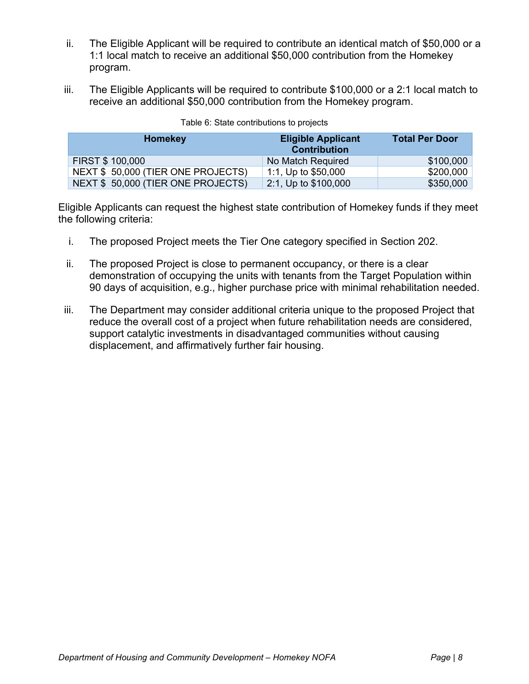- ii. The Eligible Applicant will be required to contribute an identical match of \$50,000 or a 1:1 local match to receive an additional \$50,000 contribution from the Homekey program.
- iii. The Eligible Applicants will be required to contribute \$100,000 or a 2:1 local match to receive an additional \$50,000 contribution from the Homekey program.

| Homekey                           | <b>Eligible Applicant</b><br><b>Contribution</b> | <b>Total Per Door</b> |
|-----------------------------------|--------------------------------------------------|-----------------------|
| <b>FIRST \$100,000</b>            | No Match Required                                | \$100,000             |
| NEXT \$50,000 (TIER ONE PROJECTS) | 1:1, Up to $$50,000$                             | \$200,000             |
| NEXT \$50,000 (TIER ONE PROJECTS) | 2:1, Up to \$100,000                             | \$350,000             |

| Table 6: State contributions to projects |  |  |  |
|------------------------------------------|--|--|--|
|------------------------------------------|--|--|--|

Eligible Applicants can request the highest state contribution of Homekey funds if they meet the following criteria:

- i. The proposed Project meets the Tier One category specified in Section 202.
- ii. The proposed Project is close to permanent occupancy, or there is a clear demonstration of occupying the units with tenants from the Target Population within 90 days of acquisition, e.g., higher purchase price with minimal rehabilitation needed.
- iii. The Department may consider additional criteria unique to the proposed Project that reduce the overall cost of a project when future rehabilitation needs are considered, support catalytic investments in disadvantaged communities without causing displacement, and affirmatively further fair housing.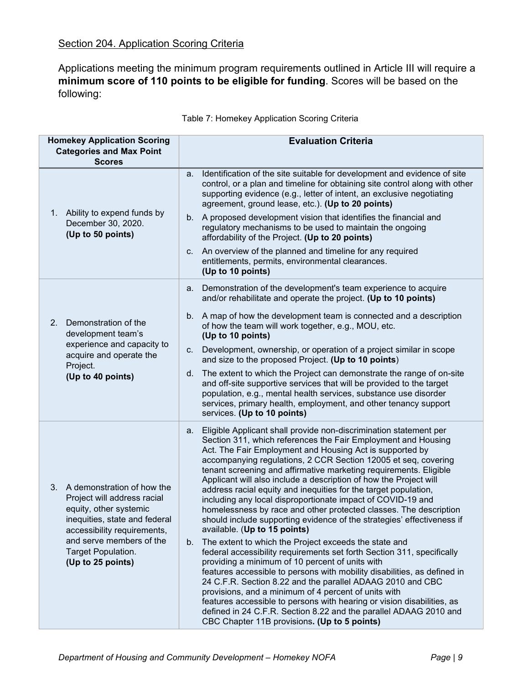## Section 204. Application Scoring Criteria

Applications meeting the minimum program requirements outlined in Article III will require a **minimum score of 110 points to be eligible for funding**. Scores will be based on the following:

| <b>Homekey Application Scoring</b><br><b>Categories and Max Point</b><br><b>Scores</b>                                                                                                                                        | <b>Evaluation Criteria</b>                                                                                                                                                                                                                                                                                                                                                                                                                                                                                                                                                                                                                                                                                                                                                                                                                                                                                                                                                                                                                                                                                                                                                                                                                                                                                               |
|-------------------------------------------------------------------------------------------------------------------------------------------------------------------------------------------------------------------------------|--------------------------------------------------------------------------------------------------------------------------------------------------------------------------------------------------------------------------------------------------------------------------------------------------------------------------------------------------------------------------------------------------------------------------------------------------------------------------------------------------------------------------------------------------------------------------------------------------------------------------------------------------------------------------------------------------------------------------------------------------------------------------------------------------------------------------------------------------------------------------------------------------------------------------------------------------------------------------------------------------------------------------------------------------------------------------------------------------------------------------------------------------------------------------------------------------------------------------------------------------------------------------------------------------------------------------|
|                                                                                                                                                                                                                               | Identification of the site suitable for development and evidence of site<br>а.<br>control, or a plan and timeline for obtaining site control along with other<br>supporting evidence (e.g., letter of intent, an exclusive negotiating<br>agreement, ground lease, etc.). (Up to 20 points)                                                                                                                                                                                                                                                                                                                                                                                                                                                                                                                                                                                                                                                                                                                                                                                                                                                                                                                                                                                                                              |
| 1. Ability to expend funds by<br>December 30, 2020.<br>(Up to 50 points)                                                                                                                                                      | b. A proposed development vision that identifies the financial and<br>regulatory mechanisms to be used to maintain the ongoing<br>affordability of the Project. (Up to 20 points)                                                                                                                                                                                                                                                                                                                                                                                                                                                                                                                                                                                                                                                                                                                                                                                                                                                                                                                                                                                                                                                                                                                                        |
|                                                                                                                                                                                                                               | An overview of the planned and timeline for any required<br>C.<br>entitlements, permits, environmental clearances.<br>(Up to 10 points)                                                                                                                                                                                                                                                                                                                                                                                                                                                                                                                                                                                                                                                                                                                                                                                                                                                                                                                                                                                                                                                                                                                                                                                  |
|                                                                                                                                                                                                                               | Demonstration of the development's team experience to acquire<br>а.<br>and/or rehabilitate and operate the project. (Up to 10 points)                                                                                                                                                                                                                                                                                                                                                                                                                                                                                                                                                                                                                                                                                                                                                                                                                                                                                                                                                                                                                                                                                                                                                                                    |
| 2.<br>Demonstration of the<br>development team's<br>experience and capacity to<br>acquire and operate the<br>Project.<br>(Up to 40 points)                                                                                    | b. A map of how the development team is connected and a description<br>of how the team will work together, e.g., MOU, etc.<br>(Up to 10 points)                                                                                                                                                                                                                                                                                                                                                                                                                                                                                                                                                                                                                                                                                                                                                                                                                                                                                                                                                                                                                                                                                                                                                                          |
|                                                                                                                                                                                                                               | Development, ownership, or operation of a project similar in scope<br>C.<br>and size to the proposed Project. (Up to 10 points)                                                                                                                                                                                                                                                                                                                                                                                                                                                                                                                                                                                                                                                                                                                                                                                                                                                                                                                                                                                                                                                                                                                                                                                          |
|                                                                                                                                                                                                                               | The extent to which the Project can demonstrate the range of on-site<br>d.<br>and off-site supportive services that will be provided to the target<br>population, e.g., mental health services, substance use disorder<br>services, primary health, employment, and other tenancy support<br>services. (Up to 10 points)                                                                                                                                                                                                                                                                                                                                                                                                                                                                                                                                                                                                                                                                                                                                                                                                                                                                                                                                                                                                 |
| 3. A demonstration of how the<br>Project will address racial<br>equity, other systemic<br>inequities, state and federal<br>accessibility requirements,<br>and serve members of the<br>Target Population.<br>(Up to 25 points) | a. Eligible Applicant shall provide non-discrimination statement per<br>Section 311, which references the Fair Employment and Housing<br>Act. The Fair Employment and Housing Act is supported by<br>accompanying regulations, 2 CCR Section 12005 et seq, covering<br>tenant screening and affirmative marketing requirements. Eligible<br>Applicant will also include a description of how the Project will<br>address racial equity and inequities for the target population,<br>including any local disproportionate impact of COVID-19 and<br>homelessness by race and other protected classes. The description<br>should include supporting evidence of the strategies' effectiveness if<br>available. (Up to 15 points)<br>b. The extent to which the Project exceeds the state and<br>federal accessibility requirements set forth Section 311, specifically<br>providing a minimum of 10 percent of units with<br>features accessible to persons with mobility disabilities, as defined in<br>24 C.F.R. Section 8.22 and the parallel ADAAG 2010 and CBC<br>provisions, and a minimum of 4 percent of units with<br>features accessible to persons with hearing or vision disabilities, as<br>defined in 24 C.F.R. Section 8.22 and the parallel ADAAG 2010 and<br>CBC Chapter 11B provisions. (Up to 5 points) |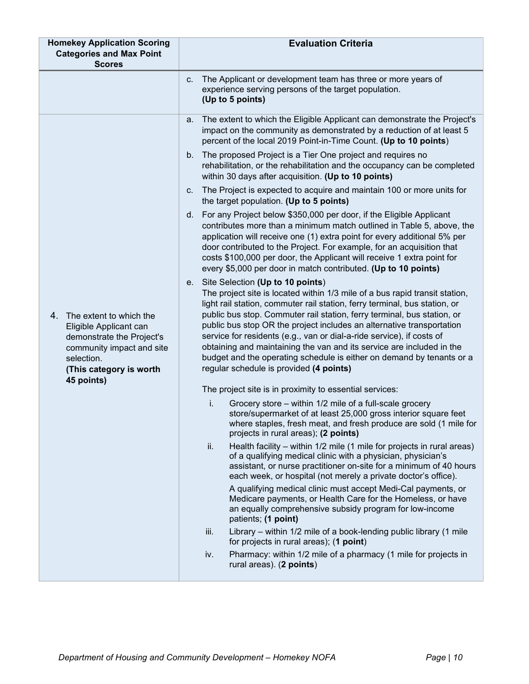| <b>Homekey Application Scoring</b>                                                                                                                                       | <b>Evaluation Criteria</b>                                                                                                                                                                                                                                                                                                                                                                                                                                                                                                                                                                                                 |
|--------------------------------------------------------------------------------------------------------------------------------------------------------------------------|----------------------------------------------------------------------------------------------------------------------------------------------------------------------------------------------------------------------------------------------------------------------------------------------------------------------------------------------------------------------------------------------------------------------------------------------------------------------------------------------------------------------------------------------------------------------------------------------------------------------------|
| <b>Categories and Max Point</b><br><b>Scores</b>                                                                                                                         |                                                                                                                                                                                                                                                                                                                                                                                                                                                                                                                                                                                                                            |
|                                                                                                                                                                          | The Applicant or development team has three or more years of<br>C.<br>experience serving persons of the target population.<br>(Up to 5 points)                                                                                                                                                                                                                                                                                                                                                                                                                                                                             |
| The extent to which the<br>4.<br>Eligible Applicant can<br>demonstrate the Project's<br>community impact and site<br>selection.<br>(This category is worth<br>45 points) | The extent to which the Eligible Applicant can demonstrate the Project's<br>а.<br>impact on the community as demonstrated by a reduction of at least 5<br>percent of the local 2019 Point-in-Time Count. (Up to 10 points)                                                                                                                                                                                                                                                                                                                                                                                                 |
|                                                                                                                                                                          | b. The proposed Project is a Tier One project and requires no<br>rehabilitation, or the rehabilitation and the occupancy can be completed<br>within 30 days after acquisition. (Up to 10 points)                                                                                                                                                                                                                                                                                                                                                                                                                           |
|                                                                                                                                                                          | The Project is expected to acquire and maintain 100 or more units for<br>C.<br>the target population. (Up to 5 points)                                                                                                                                                                                                                                                                                                                                                                                                                                                                                                     |
|                                                                                                                                                                          | d. For any Project below \$350,000 per door, if the Eligible Applicant<br>contributes more than a minimum match outlined in Table 5, above, the<br>application will receive one (1) extra point for every additional 5% per<br>door contributed to the Project. For example, for an acquisition that<br>costs \$100,000 per door, the Applicant will receive 1 extra point for<br>every \$5,000 per door in match contributed. (Up to 10 points)                                                                                                                                                                           |
|                                                                                                                                                                          | e. Site Selection (Up to 10 points)<br>The project site is located within 1/3 mile of a bus rapid transit station,<br>light rail station, commuter rail station, ferry terminal, bus station, or<br>public bus stop. Commuter rail station, ferry terminal, bus station, or<br>public bus stop OR the project includes an alternative transportation<br>service for residents (e.g., van or dial-a-ride service), if costs of<br>obtaining and maintaining the van and its service are included in the<br>budget and the operating schedule is either on demand by tenants or a<br>regular schedule is provided (4 points) |
|                                                                                                                                                                          | The project site is in proximity to essential services:                                                                                                                                                                                                                                                                                                                                                                                                                                                                                                                                                                    |
|                                                                                                                                                                          | Grocery store – within 1/2 mile of a full-scale grocery<br>i.<br>store/supermarket of at least 25,000 gross interior square feet<br>where staples, fresh meat, and fresh produce are sold (1 mile for<br>projects in rural areas); (2 points)                                                                                                                                                                                                                                                                                                                                                                              |
|                                                                                                                                                                          | ii.<br>Health facility – within 1/2 mile (1 mile for projects in rural areas)<br>of a qualifying medical clinic with a physician, physician's<br>assistant, or nurse practitioner on-site for a minimum of 40 hours<br>each week, or hospital (not merely a private doctor's office).                                                                                                                                                                                                                                                                                                                                      |
|                                                                                                                                                                          | A qualifying medical clinic must accept Medi-Cal payments, or<br>Medicare payments, or Health Care for the Homeless, or have<br>an equally comprehensive subsidy program for low-income<br>patients; (1 point)                                                                                                                                                                                                                                                                                                                                                                                                             |
|                                                                                                                                                                          | Library - within 1/2 mile of a book-lending public library (1 mile<br>iii.<br>for projects in rural areas); (1 point)                                                                                                                                                                                                                                                                                                                                                                                                                                                                                                      |
|                                                                                                                                                                          | Pharmacy: within 1/2 mile of a pharmacy (1 mile for projects in<br>iv.<br>rural areas). (2 points)                                                                                                                                                                                                                                                                                                                                                                                                                                                                                                                         |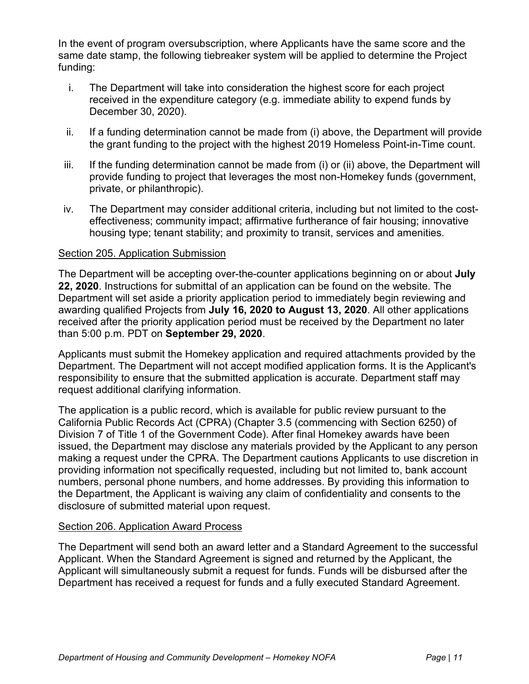In the event of program oversubscription, where Applicants have the same score and the same date stamp, the following tiebreaker system will be applied to determine the Project funding:

- i. The Department will take into consideration the highest score for each project received in the expenditure category (e.g. immediate ability to expend funds by December 30, 2020).
- ii. If a funding determination cannot be made from (i) above, the Department will provide the grant funding to the project with the highest 2019 Homeless Point-in-Time count.
- iii. If the funding determination cannot be made from (i) or (ii) above, the Department will provide funding to project that leverages the most non-Homekey funds (government, private, or philanthropic).
- iv. The Department may consider additional criteria, including but not limited to the costeffectiveness; community impact; affirmative furtherance of fair housing; innovative housing type; tenant stability; and proximity to transit, services and amenities.

### Section 205. Application Submission

The Department will be accepting over-the-counter applications beginning on or about **July 22, 2020**. Instructions for submittal of an application can be found on the website. The Department will set aside a priority application period to immediately begin reviewing and awarding qualified Projects from **July 16, 2020 to August 13, 2020**. All other applications received after the priority application period must be received by the Department no later than 5:00 p.m. PDT on **September 29, 2020**.

Applicants must submit the Homekey application and required attachments provided by the Department. The Department will not accept modified application forms. It is the Applicant's responsibility to ensure that the submitted application is accurate. Department staff may request additional clarifying information.

The application is a public record, which is available for public review pursuant to the California Public Records Act (CPRA) (Chapter 3.5 (commencing with Section 6250) of Division 7 of Title 1 of the Government Code). After final Homekey awards have been issued, the Department may disclose any materials provided by the Applicant to any person making a request under the CPRA. The Department cautions Applicants to use discretion in providing information not specifically requested, including but not limited to, bank account numbers, personal phone numbers, and home addresses. By providing this information to the Department, the Applicant is waiving any claim of confidentiality and consents to the disclosure of submitted material upon request.

### Section 206. Application Award Process

The Department will send both an award letter and a Standard Agreement to the successful Applicant. When the Standard Agreement is signed and returned by the Applicant, the Applicant will simultaneously submit a request for funds. Funds will be disbursed after the Department has received a request for funds and a fully executed Standard Agreement.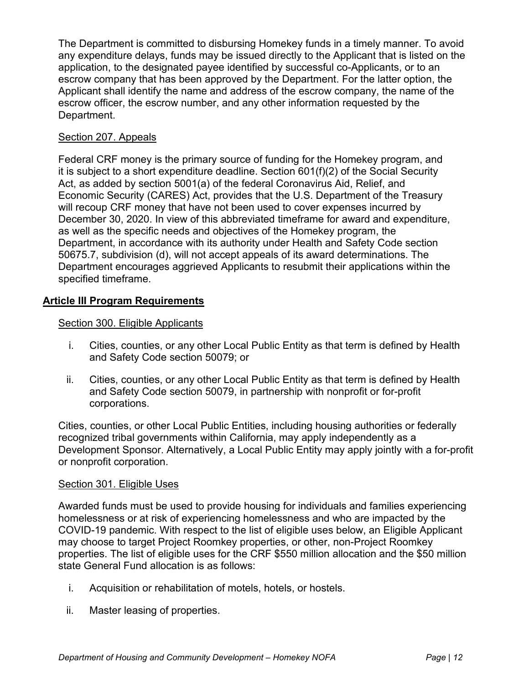The Department is committed to disbursing Homekey funds in a timely manner. To avoid any expenditure delays, funds may be issued directly to the Applicant that is listed on the application, to the designated payee identified by successful co-Applicants, or to an escrow company that has been approved by the Department. For the latter option, the Applicant shall identify the name and address of the escrow company, the name of the escrow officer, the escrow number, and any other information requested by the Department.

## Section 207. Appeals

Federal CRF money is the primary source of funding for the Homekey program, and it is subject to a short expenditure deadline. Section 601(f)(2) of the Social Security Act, as added by section 5001(a) of the federal Coronavirus Aid, Relief, and Economic Security (CARES) Act, provides that the U.S. Department of the Treasury will recoup CRF money that have not been used to cover expenses incurred by December 30, 2020. In view of this abbreviated timeframe for award and expenditure, as well as the specific needs and objectives of the Homekey program, the Department, in accordance with its authority under Health and Safety Code section 50675.7, subdivision (d), will not accept appeals of its award determinations. The Department encourages aggrieved Applicants to resubmit their applications within the specified timeframe.

## **Article III Program Requirements**

### Section 300. Eligible Applicants

- i. Cities, counties, or any other Local Public Entity as that term is defined by Health and Safety Code section 50079; or
- ii. Cities, counties, or any other Local Public Entity as that term is defined by Health and Safety Code section 50079, in partnership with nonprofit or for-profit corporations.

Cities, counties, or other Local Public Entities, including housing authorities or federally recognized tribal governments within California, may apply independently as a Development Sponsor. Alternatively, a Local Public Entity may apply jointly with a for-profit or nonprofit corporation.

### Section 301. Eligible Uses

Awarded funds must be used to provide housing for individuals and families experiencing homelessness or at risk of experiencing homelessness and who are impacted by the COVID-19 pandemic. With respect to the list of eligible uses below, an Eligible Applicant may choose to target Project Roomkey properties, or other, non-Project Roomkey properties. The list of eligible uses for the CRF \$550 million allocation and the \$50 million state General Fund allocation is as follows:

- i. Acquisition or rehabilitation of motels, hotels, or hostels.
- ii. Master leasing of properties.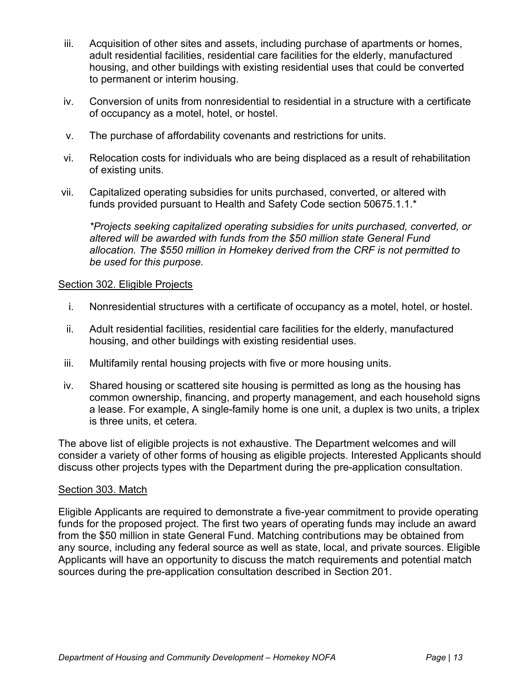- iii. Acquisition of other sites and assets, including purchase of apartments or homes, adult residential facilities, residential care facilities for the elderly, manufactured housing, and other buildings with existing residential uses that could be converted to permanent or interim housing.
- iv. Conversion of units from nonresidential to residential in a structure with a certificate of occupancy as a motel, hotel, or hostel.
- v. The purchase of affordability covenants and restrictions for units.
- vi. Relocation costs for individuals who are being displaced as a result of rehabilitation of existing units.
- vii. Capitalized operating subsidies for units purchased, converted, or altered with funds provided pursuant to Health and Safety Code section 50675.1.1.\*

*\*Projects seeking capitalized operating subsidies for units purchased, converted, or altered will be awarded with funds from the \$50 million state General Fund allocation. The \$550 million in Homekey derived from the CRF is not permitted to be used for this purpose.*

#### Section 302. Eligible Projects

- i. Nonresidential structures with a certificate of occupancy as a motel, hotel, or hostel.
- ii. Adult residential facilities, residential care facilities for the elderly, manufactured housing, and other buildings with existing residential uses.
- iii. Multifamily rental housing projects with five or more housing units.
- iv. Shared housing or scattered site housing is permitted as long as the housing has common ownership, financing, and property management, and each household signs a lease. For example, A single-family home is one unit, a duplex is two units, a triplex is three units, et cetera.

The above list of eligible projects is not exhaustive. The Department welcomes and will consider a variety of other forms of housing as eligible projects. Interested Applicants should discuss other projects types with the Department during the pre-application consultation.

#### Section 303. Match

Eligible Applicants are required to demonstrate a five-year commitment to provide operating funds for the proposed project. The first two years of operating funds may include an award from the \$50 million in state General Fund. Matching contributions may be obtained from any source, including any federal source as well as state, local, and private sources. Eligible Applicants will have an opportunity to discuss the match requirements and potential match sources during the pre-application consultation described in Section 201.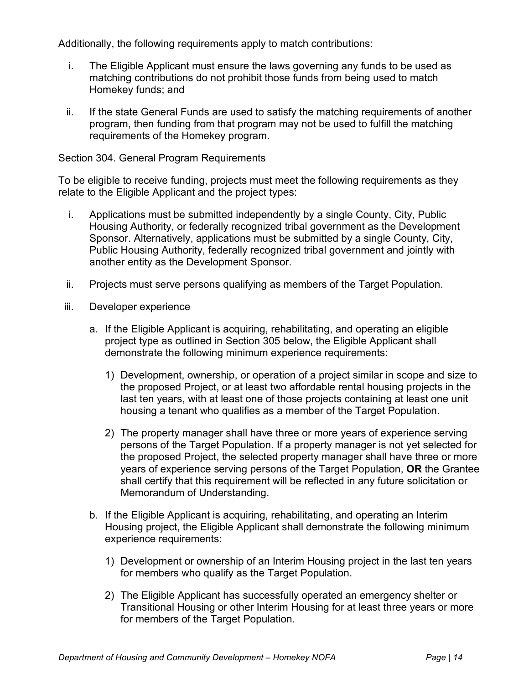Additionally, the following requirements apply to match contributions:

- i. The Eligible Applicant must ensure the laws governing any funds to be used as matching contributions do not prohibit those funds from being used to match Homekey funds; and
- ii. If the state General Funds are used to satisfy the matching requirements of another program, then funding from that program may not be used to fulfill the matching requirements of the Homekey program.

#### Section 304. General Program Requirements

To be eligible to receive funding, projects must meet the following requirements as they relate to the Eligible Applicant and the project types:

- i. Applications must be submitted independently by a single County, City, Public Housing Authority, or federally recognized tribal government as the Development Sponsor. Alternatively, applications must be submitted by a single County, City, Public Housing Authority, federally recognized tribal government and jointly with another entity as the Development Sponsor.
- ii. Projects must serve persons qualifying as members of the Target Population.
- iii. Developer experience
	- a. If the Eligible Applicant is acquiring, rehabilitating, and operating an eligible project type as outlined in Section 305 below, the Eligible Applicant shall demonstrate the following minimum experience requirements:
		- 1) Development, ownership, or operation of a project similar in scope and size to the proposed Project, or at least two affordable rental housing projects in the last ten years, with at least one of those projects containing at least one unit housing a tenant who qualifies as a member of the Target Population.
		- 2) The property manager shall have three or more years of experience serving persons of the Target Population. If a property manager is not yet selected for the proposed Project, the selected property manager shall have three or more years of experience serving persons of the Target Population, **OR** the Grantee shall certify that this requirement will be reflected in any future solicitation or Memorandum of Understanding.
	- b. If the Eligible Applicant is acquiring, rehabilitating, and operating an Interim Housing project, the Eligible Applicant shall demonstrate the following minimum experience requirements:
		- 1) Development or ownership of an Interim Housing project in the last ten years for members who qualify as the Target Population.
		- 2) The Eligible Applicant has successfully operated an emergency shelter or Transitional Housing or other Interim Housing for at least three years or more for members of the Target Population.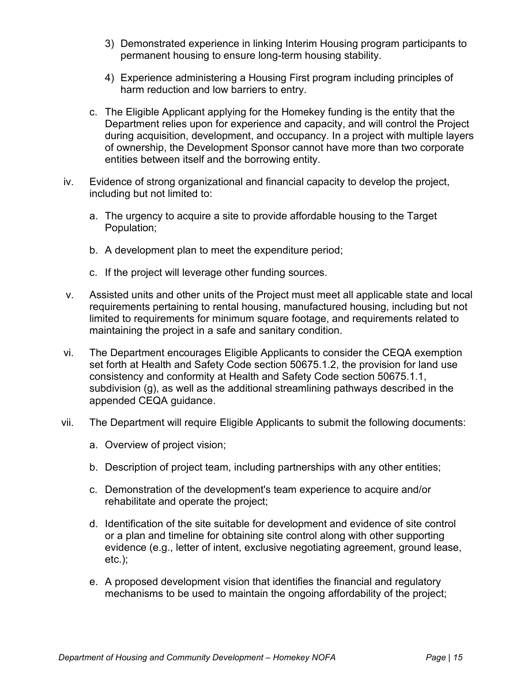- 3) Demonstrated experience in linking Interim Housing program participants to permanent housing to ensure long-term housing stability.
- 4) Experience administering a Housing First program including principles of harm reduction and low barriers to entry.
- c. The Eligible Applicant applying for the Homekey funding is the entity that the Department relies upon for experience and capacity, and will control the Project during acquisition, development, and occupancy. In a project with multiple layers of ownership, the Development Sponsor cannot have more than two corporate entities between itself and the borrowing entity.
- iv. Evidence of strong organizational and financial capacity to develop the project, including but not limited to:
	- a. The urgency to acquire a site to provide affordable housing to the Target Population;
	- b. A development plan to meet the expenditure period;
	- c. If the project will leverage other funding sources.
- v. Assisted units and other units of the Project must meet all applicable state and local requirements pertaining to rental housing, manufactured housing, including but not limited to requirements for minimum square footage, and requirements related to maintaining the project in a safe and sanitary condition.
- vi. The Department encourages Eligible Applicants to consider the CEQA exemption set forth at Health and Safety Code section 50675.1.2, the provision for land use consistency and conformity at Health and Safety Code section 50675.1.1, subdivision (g), as well as the additional streamlining pathways described in the appended CEQA guidance.
- vii. The Department will require Eligible Applicants to submit the following documents:
	- a. Overview of project vision;
	- b. Description of project team, including partnerships with any other entities;
	- c. Demonstration of the development's team experience to acquire and/or rehabilitate and operate the project;
	- d. Identification of the site suitable for development and evidence of site control or a plan and timeline for obtaining site control along with other supporting evidence (e.g., letter of intent, exclusive negotiating agreement, ground lease, etc.);
	- e. A proposed development vision that identifies the financial and regulatory mechanisms to be used to maintain the ongoing affordability of the project;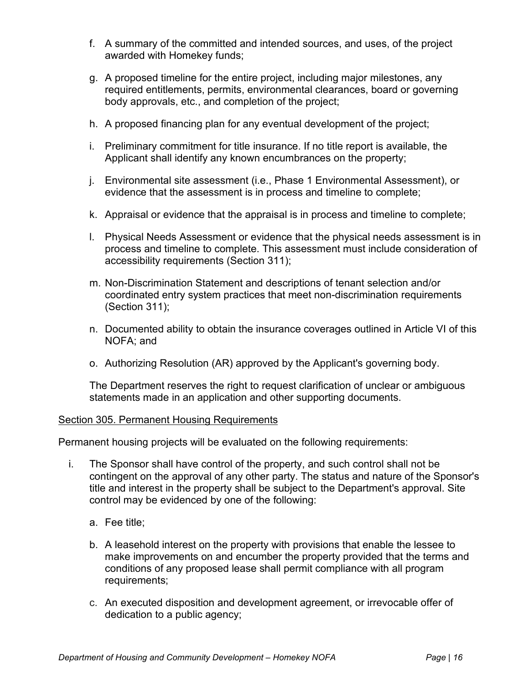- f. A summary of the committed and intended sources, and uses, of the project awarded with Homekey funds;
- g. A proposed timeline for the entire project, including major milestones, any required entitlements, permits, environmental clearances, board or governing body approvals, etc., and completion of the project;
- h. A proposed financing plan for any eventual development of the project;
- i. Preliminary commitment for title insurance. If no title report is available, the Applicant shall identify any known encumbrances on the property;
- j. Environmental site assessment (i.e., Phase 1 Environmental Assessment), or evidence that the assessment is in process and timeline to complete;
- k. Appraisal or evidence that the appraisal is in process and timeline to complete;
- l. Physical Needs Assessment or evidence that the physical needs assessment is in process and timeline to complete. This assessment must include consideration of accessibility requirements (Section 311);
- m. Non-Discrimination Statement and descriptions of tenant selection and/or coordinated entry system practices that meet non-discrimination requirements (Section 311);
- n. Documented ability to obtain the insurance coverages outlined in Article VI of this NOFA; and
- o. Authorizing Resolution (AR) approved by the Applicant's governing body.

The Department reserves the right to request clarification of unclear or ambiguous statements made in an application and other supporting documents.

#### Section 305. Permanent Housing Requirements

Permanent housing projects will be evaluated on the following requirements:

- i. The Sponsor shall have control of the property, and such control shall not be contingent on the approval of any other party. The status and nature of the Sponsor's title and interest in the property shall be subject to the Department's approval. Site control may be evidenced by one of the following:
	- a. Fee title;
	- b. A leasehold interest on the property with provisions that enable the lessee to make improvements on and encumber the property provided that the terms and conditions of any proposed lease shall permit compliance with all program requirements;
	- c. An executed disposition and development agreement, or irrevocable offer of dedication to a public agency;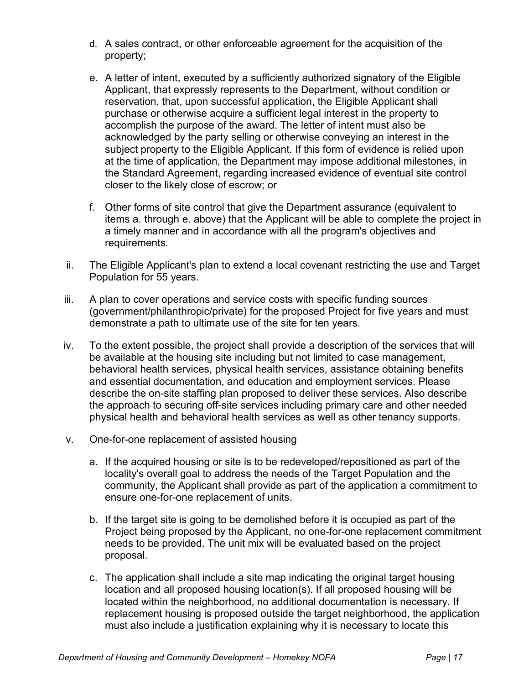- d. A sales contract, or other enforceable agreement for the acquisition of the property;
- e. A letter of intent, executed by a sufficiently authorized signatory of the Eligible Applicant, that expressly represents to the Department, without condition or reservation, that, upon successful application, the Eligible Applicant shall purchase or otherwise acquire a sufficient legal interest in the property to accomplish the purpose of the award. The letter of intent must also be acknowledged by the party selling or otherwise conveying an interest in the subject property to the Eligible Applicant. If this form of evidence is relied upon at the time of application, the Department may impose additional milestones, in the Standard Agreement, regarding increased evidence of eventual site control closer to the likely close of escrow; or
- f. Other forms of site control that give the Department assurance (equivalent to items a. through e. above) that the Applicant will be able to complete the project in a timely manner and in accordance with all the program's objectives and requirements.
- ii. The Eligible Applicant's plan to extend a local covenant restricting the use and Target Population for 55 years.
- iii. A plan to cover operations and service costs with specific funding sources (government/philanthropic/private) for the proposed Project for five years and must demonstrate a path to ultimate use of the site for ten years.
- iv. To the extent possible, the project shall provide a description of the services that will be available at the housing site including but not limited to case management, behavioral health services, physical health services, assistance obtaining benefits and essential documentation, and education and employment services. Please describe the on-site staffing plan proposed to deliver these services. Also describe the approach to securing off-site services including primary care and other needed physical health and behavioral health services as well as other tenancy supports.
- v. One-for-one replacement of assisted housing
	- a. If the acquired housing or site is to be redeveloped/repositioned as part of the locality's overall goal to address the needs of the Target Population and the community, the Applicant shall provide as part of the application a commitment to ensure one-for-one replacement of units.
	- b. If the target site is going to be demolished before it is occupied as part of the Project being proposed by the Applicant, no one-for-one replacement commitment needs to be provided. The unit mix will be evaluated based on the project proposal.
	- c. The application shall include a site map indicating the original target housing location and all proposed housing location(s). If all proposed housing will be located within the neighborhood, no additional documentation is necessary. If replacement housing is proposed outside the target neighborhood, the application must also include a justification explaining why it is necessary to locate this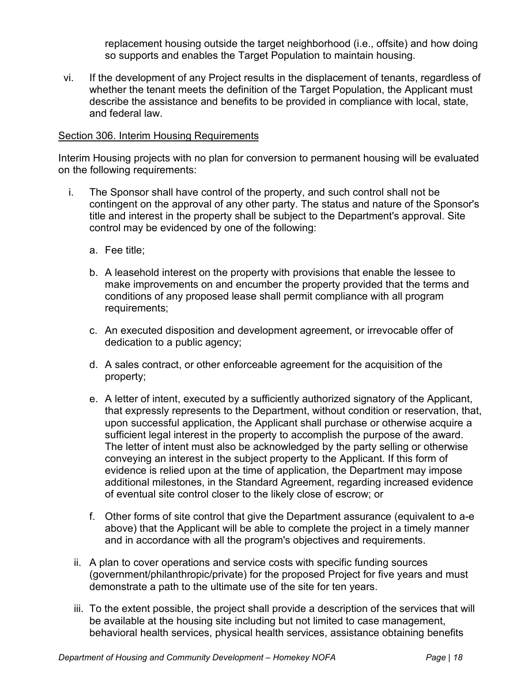replacement housing outside the target neighborhood (i.e., offsite) and how doing so supports and enables the Target Population to maintain housing.

vi. If the development of any Project results in the displacement of tenants, regardless of whether the tenant meets the definition of the Target Population, the Applicant must describe the assistance and benefits to be provided in compliance with local, state, and federal law.

#### Section 306. Interim Housing Requirements

Interim Housing projects with no plan for conversion to permanent housing will be evaluated on the following requirements:

- i. The Sponsor shall have control of the property, and such control shall not be contingent on the approval of any other party. The status and nature of the Sponsor's title and interest in the property shall be subject to the Department's approval. Site control may be evidenced by one of the following:
	- a. Fee title;
	- b. A leasehold interest on the property with provisions that enable the lessee to make improvements on and encumber the property provided that the terms and conditions of any proposed lease shall permit compliance with all program requirements;
	- c. An executed disposition and development agreement, or irrevocable offer of dedication to a public agency;
	- d. A sales contract, or other enforceable agreement for the acquisition of the property;
	- e. A letter of intent, executed by a sufficiently authorized signatory of the Applicant, that expressly represents to the Department, without condition or reservation, that, upon successful application, the Applicant shall purchase or otherwise acquire a sufficient legal interest in the property to accomplish the purpose of the award. The letter of intent must also be acknowledged by the party selling or otherwise conveying an interest in the subject property to the Applicant. If this form of evidence is relied upon at the time of application, the Department may impose additional milestones, in the Standard Agreement, regarding increased evidence of eventual site control closer to the likely close of escrow; or
	- f. Other forms of site control that give the Department assurance (equivalent to a-e above) that the Applicant will be able to complete the project in a timely manner and in accordance with all the program's objectives and requirements.
	- ii. A plan to cover operations and service costs with specific funding sources (government/philanthropic/private) for the proposed Project for five years and must demonstrate a path to the ultimate use of the site for ten years.
	- iii. To the extent possible, the project shall provide a description of the services that will be available at the housing site including but not limited to case management, behavioral health services, physical health services, assistance obtaining benefits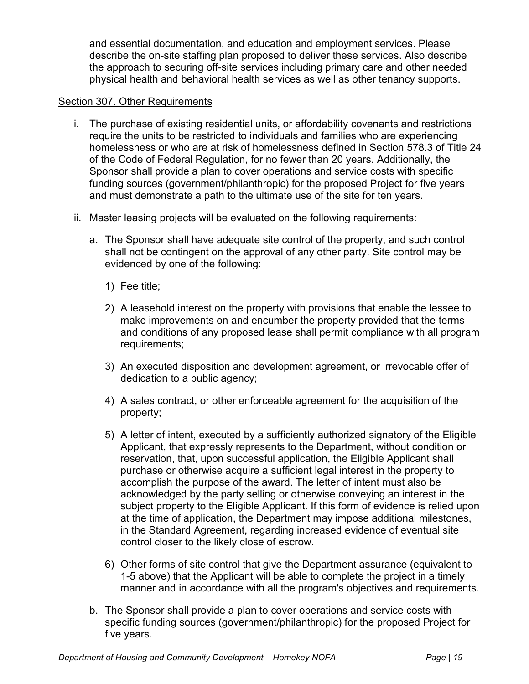and essential documentation, and education and employment services. Please describe the on-site staffing plan proposed to deliver these services. Also describe the approach to securing off-site services including primary care and other needed physical health and behavioral health services as well as other tenancy supports.

#### Section 307. Other Requirements

- i. The purchase of existing residential units, or affordability covenants and restrictions require the units to be restricted to individuals and families who are experiencing homelessness or who are at risk of homelessness defined in Section 578.3 of Title 24 of the Code of Federal Regulation, for no fewer than 20 years. Additionally, the Sponsor shall provide a plan to cover operations and service costs with specific funding sources (government/philanthropic) for the proposed Project for five years and must demonstrate a path to the ultimate use of the site for ten years.
- ii. Master leasing projects will be evaluated on the following requirements:
	- a. The Sponsor shall have adequate site control of the property, and such control shall not be contingent on the approval of any other party. Site control may be evidenced by one of the following:
		- 1) Fee title;
		- 2) A leasehold interest on the property with provisions that enable the lessee to make improvements on and encumber the property provided that the terms and conditions of any proposed lease shall permit compliance with all program requirements;
		- 3) An executed disposition and development agreement, or irrevocable offer of dedication to a public agency;
		- 4) A sales contract, or other enforceable agreement for the acquisition of the property;
		- 5) A letter of intent, executed by a sufficiently authorized signatory of the Eligible Applicant, that expressly represents to the Department, without condition or reservation, that, upon successful application, the Eligible Applicant shall purchase or otherwise acquire a sufficient legal interest in the property to accomplish the purpose of the award. The letter of intent must also be acknowledged by the party selling or otherwise conveying an interest in the subject property to the Eligible Applicant. If this form of evidence is relied upon at the time of application, the Department may impose additional milestones, in the Standard Agreement, regarding increased evidence of eventual site control closer to the likely close of escrow.
		- 6) Other forms of site control that give the Department assurance (equivalent to 1-5 above) that the Applicant will be able to complete the project in a timely manner and in accordance with all the program's objectives and requirements.
	- b. The Sponsor shall provide a plan to cover operations and service costs with specific funding sources (government/philanthropic) for the proposed Project for five years.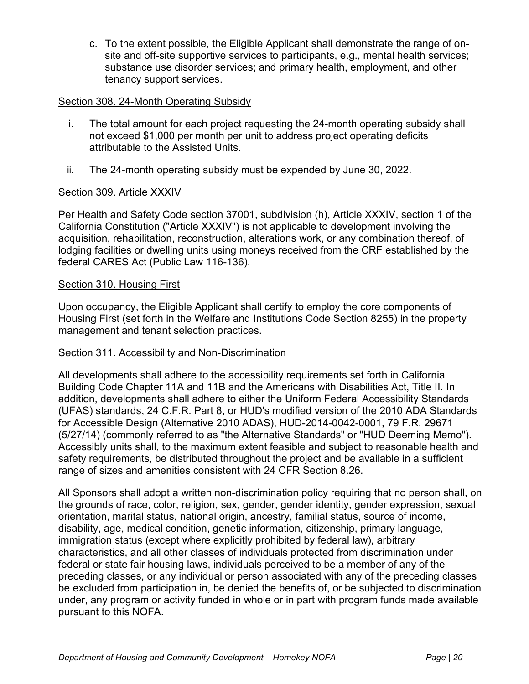c. To the extent possible, the Eligible Applicant shall demonstrate the range of onsite and off-site supportive services to participants, e.g., mental health services; substance use disorder services; and primary health, employment, and other tenancy support services.

#### Section 308. 24-Month Operating Subsidy

- i. The total amount for each project requesting the 24-month operating subsidy shall not exceed \$1,000 per month per unit to address project operating deficits attributable to the Assisted Units.
- ii. The 24-month operating subsidy must be expended by June 30, 2022.

#### Section 309. Article XXXIV

Per Health and Safety Code section 37001, subdivision (h), Article XXXIV, section 1 of the California Constitution ("Article XXXIV") is not applicable to development involving the acquisition, rehabilitation, reconstruction, alterations work, or any combination thereof, of lodging facilities or dwelling units using moneys received from the CRF established by the federal CARES Act (Public Law 116-136).

#### **Section 310. Housing First**

Upon occupancy, the Eligible Applicant shall certify to employ the core components of Housing First (set forth in the Welfare and Institutions Code Section 8255) in the property management and tenant selection practices.

### Section 311. Accessibility and Non-Discrimination

All developments shall adhere to the accessibility requirements set forth in California Building Code Chapter 11A and 11B and the Americans with Disabilities Act, Title II. In addition, developments shall adhere to either the Uniform Federal Accessibility Standards (UFAS) standards, 24 C.F.R. Part 8, or HUD's modified version of the 2010 ADA Standards for Accessible Design (Alternative 2010 ADAS), HUD-2014-0042-0001, 79 F.R. 29671 (5/27/14) (commonly referred to as "the Alternative Standards" or "HUD Deeming Memo"). Accessibly units shall, to the maximum extent feasible and subject to reasonable health and safety requirements, be distributed throughout the project and be available in a sufficient range of sizes and amenities consistent with 24 CFR Section 8.26.

All Sponsors shall adopt a written non-discrimination policy requiring that no person shall, on the grounds of race, color, religion, sex, gender, gender identity, gender expression, sexual orientation, marital status, national origin, ancestry, familial status, source of income, disability, age, medical condition, genetic information, citizenship, primary language, immigration status (except where explicitly prohibited by federal law), arbitrary characteristics, and all other classes of individuals protected from discrimination under federal or state fair housing laws, individuals perceived to be a member of any of the preceding classes, or any individual or person associated with any of the preceding classes be excluded from participation in, be denied the benefits of, or be subjected to discrimination under, any program or activity funded in whole or in part with program funds made available pursuant to this NOFA.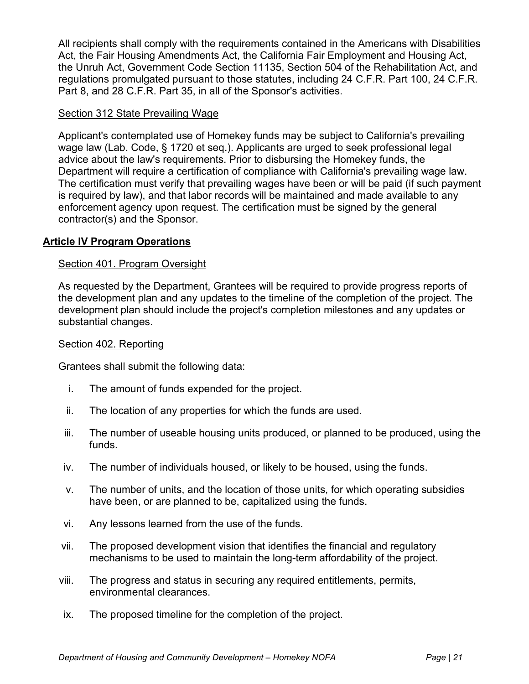All recipients shall comply with the requirements contained in the Americans with Disabilities Act, the Fair Housing Amendments Act, the California Fair Employment and Housing Act, the Unruh Act, Government Code Section 11135, Section 504 of the Rehabilitation Act, and regulations promulgated pursuant to those statutes, including 24 C.F.R. Part 100, 24 C.F.R. Part 8, and 28 C.F.R. Part 35, in all of the Sponsor's activities.

### Section 312 State Prevailing Wage

Applicant's contemplated use of Homekey funds may be subject to California's prevailing wage law (Lab. Code, § 1720 et seq.). Applicants are urged to seek professional legal advice about the law's requirements. Prior to disbursing the Homekey funds, the Department will require a certification of compliance with California's prevailing wage law. The certification must verify that prevailing wages have been or will be paid (if such payment is required by law), and that labor records will be maintained and made available to any enforcement agency upon request. The certification must be signed by the general contractor(s) and the Sponsor.

## **Article IV Program Operations**

### Section 401. Program Oversight

As requested by the Department, Grantees will be required to provide progress reports of the development plan and any updates to the timeline of the completion of the project. The development plan should include the project's completion milestones and any updates or substantial changes.

#### Section 402. Reporting

Grantees shall submit the following data:

- i. The amount of funds expended for the project.
- ii. The location of any properties for which the funds are used.
- iii. The number of useable housing units produced, or planned to be produced, using the funds.
- iv. The number of individuals housed, or likely to be housed, using the funds.
- v. The number of units, and the location of those units, for which operating subsidies have been, or are planned to be, capitalized using the funds.
- vi. Any lessons learned from the use of the funds.
- vii. The proposed development vision that identifies the financial and regulatory mechanisms to be used to maintain the long-term affordability of the project.
- viii. The progress and status in securing any required entitlements, permits, environmental clearances.
- ix. The proposed timeline for the completion of the project.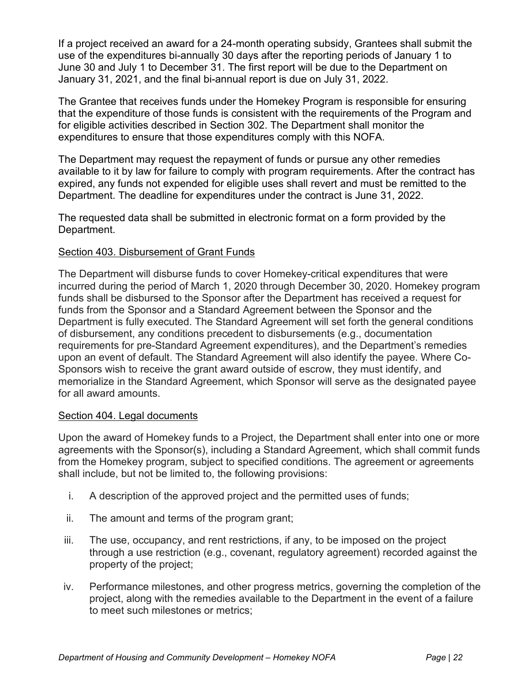If a project received an award for a 24-month operating subsidy, Grantees shall submit the use of the expenditures bi-annually 30 days after the reporting periods of January 1 to June 30 and July 1 to December 31. The first report will be due to the Department on January 31, 2021, and the final bi-annual report is due on July 31, 2022.

The Grantee that receives funds under the Homekey Program is responsible for ensuring that the expenditure of those funds is consistent with the requirements of the Program and for eligible activities described in Section 302. The Department shall monitor the expenditures to ensure that those expenditures comply with this NOFA.

The Department may request the repayment of funds or pursue any other remedies available to it by law for failure to comply with program requirements. After the contract has expired, any funds not expended for eligible uses shall revert and must be remitted to the Department. The deadline for expenditures under the contract is June 31, 2022.

The requested data shall be submitted in electronic format on a form provided by the Department.

## Section 403. Disbursement of Grant Funds

The Department will disburse funds to cover Homekey-critical expenditures that were incurred during the period of March 1, 2020 through December 30, 2020. Homekey program funds shall be disbursed to the Sponsor after the Department has received a request for funds from the Sponsor and a Standard Agreement between the Sponsor and the Department is fully executed. The Standard Agreement will set forth the general conditions of disbursement, any conditions precedent to disbursements (e.g., documentation requirements for pre-Standard Agreement expenditures), and the Department's remedies upon an event of default. The Standard Agreement will also identify the payee. Where Co-Sponsors wish to receive the grant award outside of escrow, they must identify, and memorialize in the Standard Agreement, which Sponsor will serve as the designated payee for all award amounts.

### Section 404. Legal documents

Upon the award of Homekey funds to a Project, the Department shall enter into one or more agreements with the Sponsor(s), including a Standard Agreement, which shall commit funds from the Homekey program, subject to specified conditions. The agreement or agreements shall include, but not be limited to, the following provisions:

- i. A description of the approved project and the permitted uses of funds;
- ii. The amount and terms of the program grant;
- iii. The use, occupancy, and rent restrictions, if any, to be imposed on the project through a use restriction (e.g., covenant, regulatory agreement) recorded against the property of the project;
- iv. Performance milestones, and other progress metrics, governing the completion of the project, along with the remedies available to the Department in the event of a failure to meet such milestones or metrics;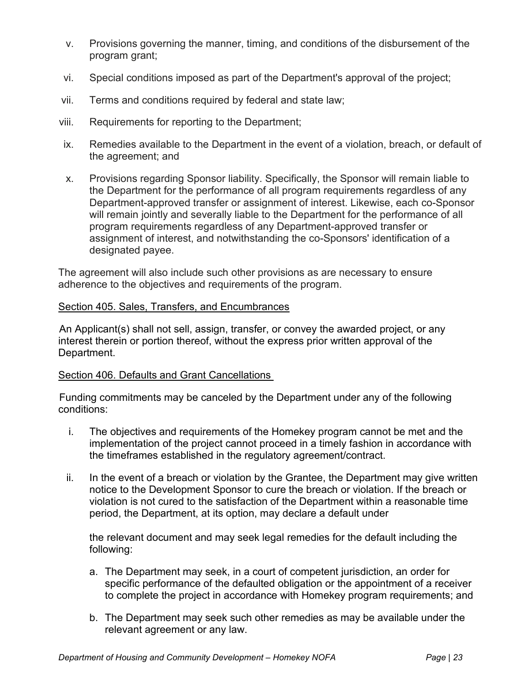- v. Provisions governing the manner, timing, and conditions of the disbursement of the program grant;
- vi. Special conditions imposed as part of the Department's approval of the project;
- vii. Terms and conditions required by federal and state law;
- viii. Requirements for reporting to the Department;
- ix. Remedies available to the Department in the event of a violation, breach, or default of the agreement; and
- x. Provisions regarding Sponsor liability. Specifically, the Sponsor will remain liable to the Department for the performance of all program requirements regardless of any Department-approved transfer or assignment of interest. Likewise, each co-Sponsor will remain jointly and severally liable to the Department for the performance of all program requirements regardless of any Department-approved transfer or assignment of interest, and notwithstanding the co-Sponsors' identification of a designated payee.

The agreement will also include such other provisions as are necessary to ensure adherence to the objectives and requirements of the program.

#### Section 405. Sales, Transfers, and Encumbrances

An Applicant(s) shall not sell, assign, transfer, or convey the awarded project, or any interest therein or portion thereof, without the express prior written approval of the Department.

#### Section 406. Defaults and Grant Cancellations

Funding commitments may be canceled by the Department under any of the following conditions:

- i. The objectives and requirements of the Homekey program cannot be met and the implementation of the project cannot proceed in a timely fashion in accordance with the timeframes established in the regulatory agreement/contract.
- ii. In the event of a breach or violation by the Grantee, the Department may give written notice to the Development Sponsor to cure the breach or violation. If the breach or violation is not cured to the satisfaction of the Department within a reasonable time period, the Department, at its option, may declare a default under

the relevant document and may seek legal remedies for the default including the following:

- a. The Department may seek, in a court of competent jurisdiction, an order for specific performance of the defaulted obligation or the appointment of a receiver to complete the project in accordance with Homekey program requirements; and
- b. The Department may seek such other remedies as may be available under the relevant agreement or any law.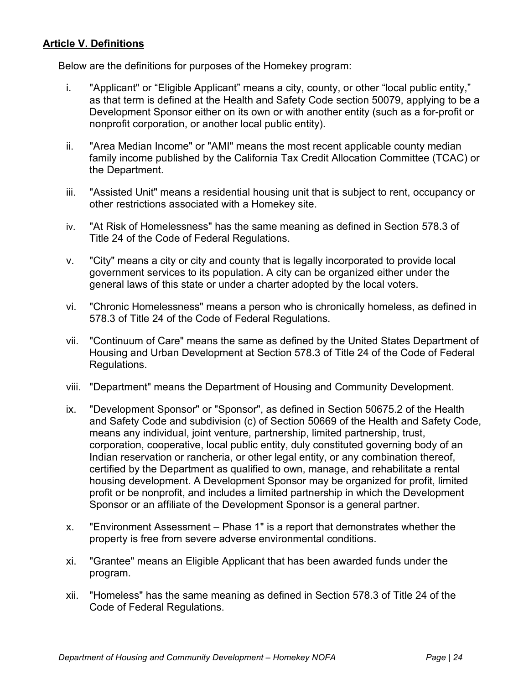## **Article V. Definitions**

Below are the definitions for purposes of the Homekey program:

- i. "Applicant" or "Eligible Applicant" means a city, county, or other "local public entity," as that term is defined at the Health and Safety Code section 50079, applying to be a Development Sponsor either on its own or with another entity (such as a for-profit or nonprofit corporation, or another local public entity).
- ii. "Area Median Income" or "AMI" means the most recent applicable county median family income published by the California Tax Credit Allocation Committee (TCAC) or the Department.
- iii. "Assisted Unit" means a residential housing unit that is subject to rent, occupancy or other restrictions associated with a Homekey site.
- iv. "At Risk of Homelessness" has the same meaning as defined in Section 578.3 of Title 24 of the Code of Federal Regulations.
- v. "City" means a city or city and county that is legally incorporated to provide local government services to its population. A city can be organized either under the general laws of this state or under a charter adopted by the local voters.
- vi. "Chronic Homelessness" means a person who is chronically homeless, as defined in 578.3 of Title 24 of the Code of Federal Regulations.
- vii. "Continuum of Care" means the same as defined by the United States Department of Housing and Urban Development at Section 578.3 of Title 24 of the Code of Federal Regulations.
- viii. "Department" means the Department of Housing and Community Development.
- ix. "Development Sponsor" or "Sponsor", as defined in Section 50675.2 of the Health and Safety Code and subdivision (c) of Section 50669 of the Health and Safety Code, means any individual, joint venture, partnership, limited partnership, trust, corporation, cooperative, local public entity, duly constituted governing body of an Indian reservation or rancheria, or other legal entity, or any combination thereof, certified by the Department as qualified to own, manage, and rehabilitate a rental housing development. A Development Sponsor may be organized for profit, limited profit or be nonprofit, and includes a limited partnership in which the Development Sponsor or an affiliate of the Development Sponsor is a general partner.
- x. "Environment Assessment Phase 1" is a report that demonstrates whether the property is free from severe adverse environmental conditions.
- xi. "Grantee" means an Eligible Applicant that has been awarded funds under the program.
- xii. "Homeless" has the same meaning as defined in Section 578.3 of Title 24 of the Code of Federal Regulations.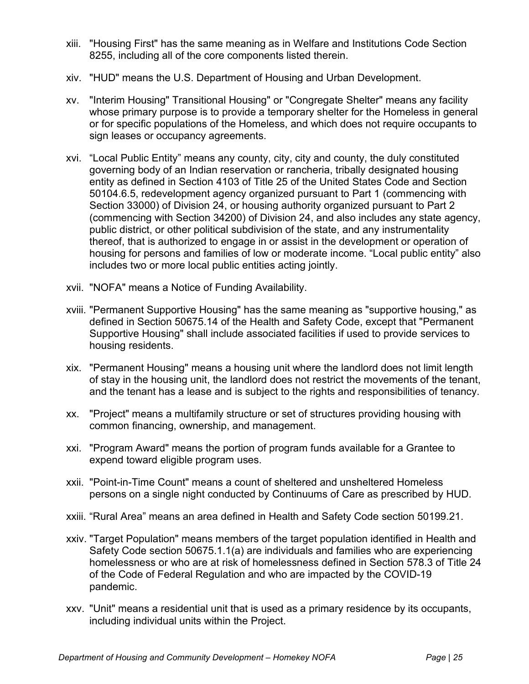- xiii. "Housing First" has the same meaning as in Welfare and Institutions Code Section 8255, including all of the core components listed therein.
- xiv. "HUD" means the U.S. Department of Housing and Urban Development.
- xv. "Interim Housing" Transitional Housing" or "Congregate Shelter" means any facility whose primary purpose is to provide a temporary shelter for the Homeless in general or for specific populations of the Homeless, and which does not require occupants to sign leases or occupancy agreements.
- xvi. "Local Public Entity" means any county, city, city and county, the duly constituted governing body of an Indian reservation or rancheria, tribally designated housing entity as defined in Section 4103 of Title 25 of the United States Code and Section 50104.6.5, redevelopment agency organized pursuant to Part 1 (commencing with Section 33000) of Division 24, or housing authority organized pursuant to Part 2 (commencing with Section 34200) of Division 24, and also includes any state agency, public district, or other political subdivision of the state, and any instrumentality thereof, that is authorized to engage in or assist in the development or operation of housing for persons and families of low or moderate income. "Local public entity" also includes two or more local public entities acting jointly.
- xvii. "NOFA" means a Notice of Funding Availability.
- xviii. "Permanent Supportive Housing" has the same meaning as "supportive housing," as defined in Section 50675.14 of the Health and Safety Code, except that "Permanent Supportive Housing" shall include associated facilities if used to provide services to housing residents.
- xix. "Permanent Housing" means a housing unit where the landlord does not limit length of stay in the housing unit, the landlord does not restrict the movements of the tenant, and the tenant has a lease and is subject to the rights and responsibilities of tenancy.
- xx. "Project" means a multifamily structure or set of structures providing housing with common financing, ownership, and management.
- xxi. "Program Award" means the portion of program funds available for a Grantee to expend toward eligible program uses.
- xxii. "Point-in-Time Count" means a count of sheltered and unsheltered Homeless persons on a single night conducted by Continuums of Care as prescribed by HUD.
- xxiii. "Rural Area" means an area defined in Health and Safety Code section 50199.21.
- xxiv. "Target Population" means members of the target population identified in Health and Safety Code section 50675.1.1(a) are individuals and families who are experiencing homelessness or who are at risk of homelessness defined in Section 578.3 of Title 24 of the Code of Federal Regulation and who are impacted by the COVID-19 pandemic.
- xxv. "Unit" means a residential unit that is used as a primary residence by its occupants, including individual units within the Project.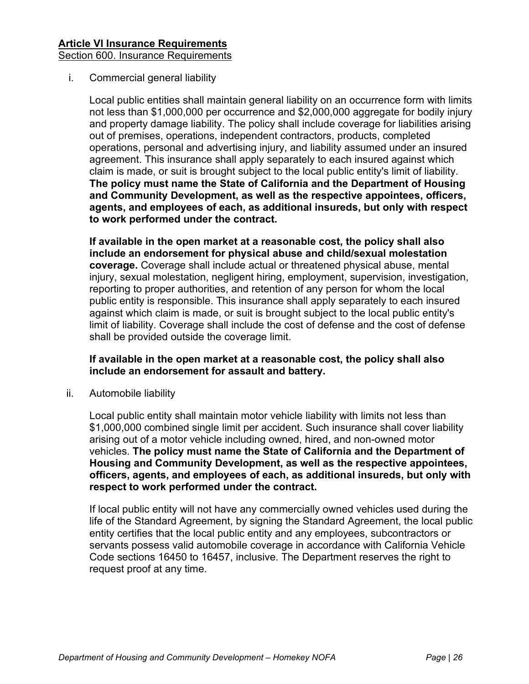## Section 600. Insurance Requirements

## i. Commercial general liability

Local public entities shall maintain general liability on an occurrence form with limits not less than \$1,000,000 per occurrence and \$2,000,000 aggregate for bodily injury and property damage liability. The policy shall include coverage for liabilities arising out of premises, operations, independent contractors, products, completed operations, personal and advertising injury, and liability assumed under an insured agreement. This insurance shall apply separately to each insured against which claim is made, or suit is brought subject to the local public entity's limit of liability. **The policy must name the State of California and the Department of Housing and Community Development, as well as the respective appointees, officers, agents, and employees of each, as additional insureds, but only with respect to work performed under the contract.** 

**If available in the open market at a reasonable cost, the policy shall also include an endorsement for physical abuse and child/sexual molestation coverage.** Coverage shall include actual or threatened physical abuse, mental injury, sexual molestation, negligent hiring, employment, supervision, investigation, reporting to proper authorities, and retention of any person for whom the local public entity is responsible. This insurance shall apply separately to each insured against which claim is made, or suit is brought subject to the local public entity's limit of liability. Coverage shall include the cost of defense and the cost of defense shall be provided outside the coverage limit.

### **If available in the open market at a reasonable cost, the policy shall also include an endorsement for assault and battery.**

ii. Automobile liability

Local public entity shall maintain motor vehicle liability with limits not less than \$1,000,000 combined single limit per accident. Such insurance shall cover liability arising out of a motor vehicle including owned, hired, and non-owned motor vehicles. **The policy must name the State of California and the Department of Housing and Community Development, as well as the respective appointees, officers, agents, and employees of each, as additional insureds, but only with respect to work performed under the contract.** 

If local public entity will not have any commercially owned vehicles used during the life of the Standard Agreement, by signing the Standard Agreement, the local public entity certifies that the local public entity and any employees, subcontractors or servants possess valid automobile coverage in accordance with California Vehicle Code sections 16450 to 16457, inclusive. The Department reserves the right to request proof at any time.